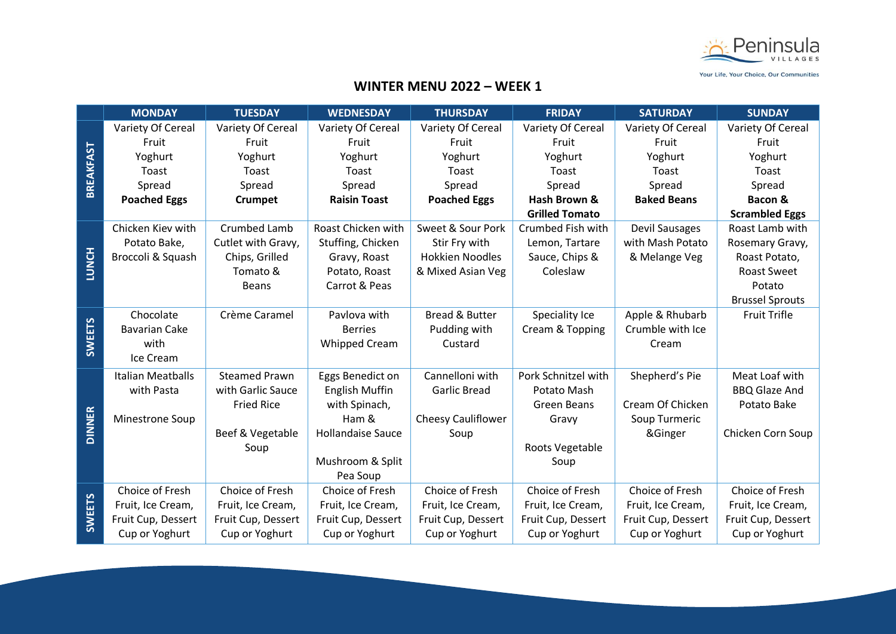

|                  | <b>MONDAY</b>            | <b>TUESDAY</b>       | <b>WEDNESDAY</b>         | <b>THURSDAY</b>           | <b>FRIDAY</b>         | <b>SATURDAY</b>    | <b>SUNDAY</b>          |
|------------------|--------------------------|----------------------|--------------------------|---------------------------|-----------------------|--------------------|------------------------|
|                  | Variety Of Cereal        | Variety Of Cereal    | Variety Of Cereal        | Variety Of Cereal         | Variety Of Cereal     | Variety Of Cereal  | Variety Of Cereal      |
| <b>BREAKFAST</b> | Fruit                    | Fruit                | Fruit                    | Fruit                     | Fruit                 | Fruit              | Fruit                  |
|                  | Yoghurt                  | Yoghurt              | Yoghurt                  | Yoghurt                   | Yoghurt               | Yoghurt            | Yoghurt                |
|                  | Toast                    | Toast                | Toast                    | Toast                     | Toast                 | Toast              | Toast                  |
|                  | Spread                   | Spread               | Spread                   | Spread                    | Spread                | Spread             | Spread                 |
|                  | <b>Poached Eggs</b>      | <b>Crumpet</b>       | <b>Raisin Toast</b>      | <b>Poached Eggs</b>       | Hash Brown &          | <b>Baked Beans</b> | Bacon &                |
|                  |                          |                      |                          |                           | <b>Grilled Tomato</b> |                    | <b>Scrambled Eggs</b>  |
|                  | Chicken Kiev with        | Crumbed Lamb         | Roast Chicken with       | Sweet & Sour Pork         | Crumbed Fish with     | Devil Sausages     | Roast Lamb with        |
|                  | Potato Bake,             | Cutlet with Gravy,   | Stuffing, Chicken        | Stir Fry with             | Lemon, Tartare        | with Mash Potato   | Rosemary Gravy,        |
|                  | Broccoli & Squash        | Chips, Grilled       | Gravy, Roast             | <b>Hokkien Noodles</b>    | Sauce, Chips &        | & Melange Veg      | Roast Potato,          |
| <b>LUNCH</b>     |                          | Tomato &             | Potato, Roast            | & Mixed Asian Veg         | Coleslaw              |                    | <b>Roast Sweet</b>     |
|                  |                          | <b>Beans</b>         | Carrot & Peas            |                           |                       |                    | Potato                 |
|                  |                          |                      |                          |                           |                       |                    | <b>Brussel Sprouts</b> |
|                  | Chocolate                | Crème Caramel        | Paylova with             | <b>Bread &amp; Butter</b> | Speciality Ice        | Apple & Rhubarb    | <b>Fruit Trifle</b>    |
|                  | <b>Bavarian Cake</b>     |                      | <b>Berries</b>           | Pudding with              | Cream & Topping       | Crumble with Ice   |                        |
| <b>SWEETS</b>    | with                     |                      | <b>Whipped Cream</b>     | Custard                   |                       | Cream              |                        |
|                  | Ice Cream                |                      |                          |                           |                       |                    |                        |
|                  | <b>Italian Meatballs</b> | <b>Steamed Prawn</b> | Eggs Benedict on         | Cannelloni with           | Pork Schnitzel with   | Shepherd's Pie     | Meat Loaf with         |
|                  | with Pasta               | with Garlic Sauce    | <b>English Muffin</b>    | <b>Garlic Bread</b>       | Potato Mash           |                    | <b>BBQ Glaze And</b>   |
|                  |                          | <b>Fried Rice</b>    | with Spinach,            |                           | <b>Green Beans</b>    | Cream Of Chicken   | Potato Bake            |
|                  | Minestrone Soup          |                      | Ham &                    | <b>Cheesy Cauliflower</b> | Gravy                 | Soup Turmeric      |                        |
| <b>DINNER</b>    |                          | Beef & Vegetable     | <b>Hollandaise Sauce</b> | Soup                      |                       | &Ginger            | Chicken Corn Soup      |
|                  |                          | Soup                 |                          |                           | Roots Vegetable       |                    |                        |
|                  |                          |                      | Mushroom & Split         |                           | Soup                  |                    |                        |
|                  |                          |                      | Pea Soup                 |                           |                       |                    |                        |
|                  | Choice of Fresh          | Choice of Fresh      | Choice of Fresh          | Choice of Fresh           | Choice of Fresh       | Choice of Fresh    | Choice of Fresh        |
| <b>SWEETS</b>    | Fruit, Ice Cream,        | Fruit, Ice Cream,    | Fruit, Ice Cream,        | Fruit, Ice Cream,         | Fruit, Ice Cream,     | Fruit, Ice Cream,  | Fruit, Ice Cream,      |
|                  | Fruit Cup, Dessert       | Fruit Cup, Dessert   | Fruit Cup, Dessert       | Fruit Cup, Dessert        | Fruit Cup, Dessert    | Fruit Cup, Dessert | Fruit Cup, Dessert     |
|                  | Cup or Yoghurt           | Cup or Yoghurt       | Cup or Yoghurt           | Cup or Yoghurt            | Cup or Yoghurt        | Cup or Yoghurt     | Cup or Yoghurt         |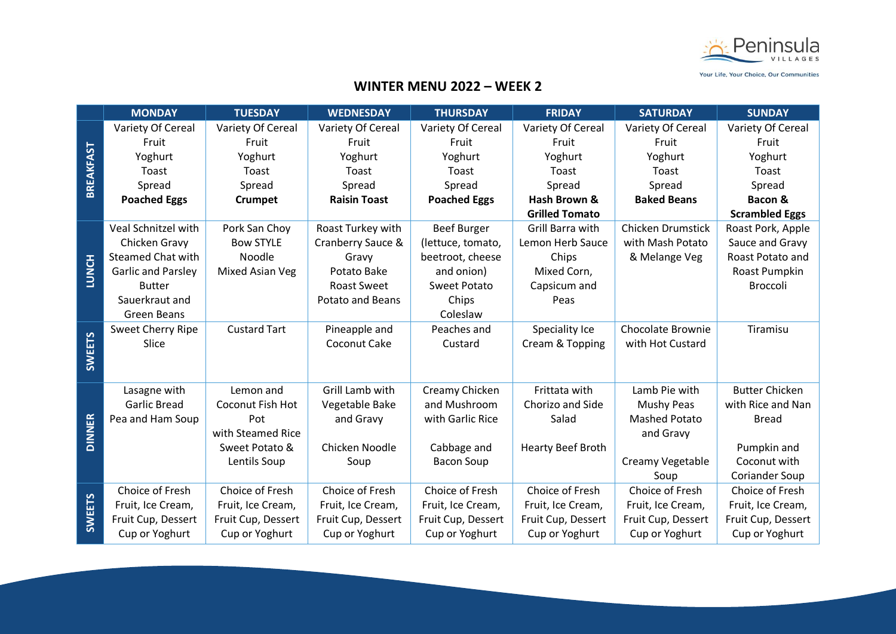

|                  | <b>MONDAY</b>             | <b>TUESDAY</b>      | <b>WEDNESDAY</b>        | <b>THURSDAY</b>     | <b>FRIDAY</b>         | <b>SATURDAY</b>          | <b>SUNDAY</b>         |
|------------------|---------------------------|---------------------|-------------------------|---------------------|-----------------------|--------------------------|-----------------------|
|                  | Variety Of Cereal         | Variety Of Cereal   | Variety Of Cereal       | Variety Of Cereal   | Variety Of Cereal     | Variety Of Cereal        | Variety Of Cereal     |
| <b>BREAKFAST</b> | Fruit                     | Fruit               | Fruit                   | Fruit               | Fruit                 | Fruit                    | Fruit                 |
|                  | Yoghurt                   | Yoghurt             | Yoghurt                 | Yoghurt             | Yoghurt               | Yoghurt                  | Yoghurt               |
|                  | Toast                     | Toast               | Toast                   | Toast               | Toast                 | Toast                    | Toast                 |
|                  | Spread                    | Spread              | Spread                  | Spread              | Spread                | Spread                   | Spread                |
|                  | <b>Poached Eggs</b>       | <b>Crumpet</b>      | <b>Raisin Toast</b>     | <b>Poached Eggs</b> | Hash Brown &          | <b>Baked Beans</b>       | Bacon &               |
|                  |                           |                     |                         |                     | <b>Grilled Tomato</b> |                          | <b>Scrambled Eggs</b> |
|                  | Veal Schnitzel with       | Pork San Choy       | Roast Turkey with       | <b>Beef Burger</b>  | Grill Barra with      | <b>Chicken Drumstick</b> | Roast Pork, Apple     |
|                  | Chicken Gravy             | <b>Bow STYLE</b>    | Cranberry Sauce &       | (lettuce, tomato,   | Lemon Herb Sauce      | with Mash Potato         | Sauce and Gravy       |
|                  | <b>Steamed Chat with</b>  | Noodle              | Gravy                   | beetroot, cheese    | Chips                 | & Melange Veg            | Roast Potato and      |
| <b>LUNCH</b>     | <b>Garlic and Parsley</b> | Mixed Asian Veg     | Potato Bake             | and onion)          | Mixed Corn,           |                          | Roast Pumpkin         |
|                  | <b>Butter</b>             |                     | <b>Roast Sweet</b>      | Sweet Potato        | Capsicum and          |                          | Broccoli              |
|                  | Sauerkraut and            |                     | <b>Potato and Beans</b> | Chips               | Peas                  |                          |                       |
|                  | Green Beans               |                     |                         | Coleslaw            |                       |                          |                       |
|                  | Sweet Cherry Ripe         | <b>Custard Tart</b> | Pineapple and           | Peaches and         | Speciality Ice        | <b>Chocolate Brownie</b> | Tiramisu              |
|                  | Slice                     |                     | Coconut Cake            | Custard             | Cream & Topping       | with Hot Custard         |                       |
| <b>SWEETS</b>    |                           |                     |                         |                     |                       |                          |                       |
|                  |                           |                     |                         |                     |                       |                          |                       |
|                  | Lasagne with              | Lemon and           | Grill Lamb with         | Creamy Chicken      | Frittata with         | Lamb Pie with            | <b>Butter Chicken</b> |
|                  | <b>Garlic Bread</b>       | Coconut Fish Hot    | Vegetable Bake          | and Mushroom        | Chorizo and Side      | Mushy Peas               | with Rice and Nan     |
|                  | Pea and Ham Soup          | Pot                 | and Gravy               | with Garlic Rice    | Salad                 | <b>Mashed Potato</b>     | <b>Bread</b>          |
| <b>DINNER</b>    |                           | with Steamed Rice   |                         |                     |                       | and Gravy                |                       |
|                  |                           | Sweet Potato &      | Chicken Noodle          | Cabbage and         | Hearty Beef Broth     |                          | Pumpkin and           |
|                  |                           | Lentils Soup        | Soup                    | <b>Bacon Soup</b>   |                       | Creamy Vegetable         | Coconut with          |
|                  |                           |                     |                         |                     |                       | Soup                     | <b>Coriander Soup</b> |
|                  | Choice of Fresh           | Choice of Fresh     | Choice of Fresh         | Choice of Fresh     | Choice of Fresh       | Choice of Fresh          | Choice of Fresh       |
|                  | Fruit, Ice Cream,         | Fruit, Ice Cream,   | Fruit, Ice Cream,       | Fruit, Ice Cream,   | Fruit, Ice Cream,     | Fruit, Ice Cream,        | Fruit, Ice Cream,     |
| <b>SWEETS</b>    | Fruit Cup, Dessert        | Fruit Cup, Dessert  | Fruit Cup, Dessert      | Fruit Cup, Dessert  | Fruit Cup, Dessert    | Fruit Cup, Dessert       | Fruit Cup, Dessert    |
|                  | Cup or Yoghurt            | Cup or Yoghurt      | Cup or Yoghurt          | Cup or Yoghurt      | Cup or Yoghurt        | Cup or Yoghurt           | Cup or Yoghurt        |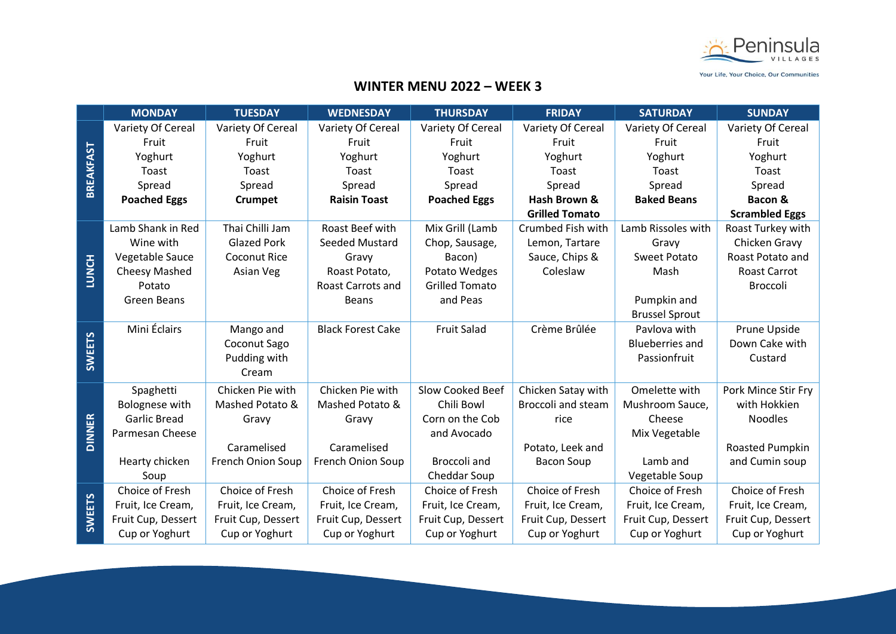

|                  | <b>MONDAY</b>       | <b>TUESDAY</b>      | <b>WEDNESDAY</b>         | <b>THURSDAY</b>       | <b>FRIDAY</b>             | <b>SATURDAY</b>        | <b>SUNDAY</b>         |
|------------------|---------------------|---------------------|--------------------------|-----------------------|---------------------------|------------------------|-----------------------|
|                  | Variety Of Cereal   | Variety Of Cereal   | Variety Of Cereal        | Variety Of Cereal     | Variety Of Cereal         | Variety Of Cereal      | Variety Of Cereal     |
| <b>BREAKFAST</b> | Fruit               | Fruit               | Fruit                    | Fruit                 | Fruit                     | Fruit                  | Fruit                 |
|                  | Yoghurt             | Yoghurt             | Yoghurt                  | Yoghurt               | Yoghurt                   | Yoghurt                | Yoghurt               |
|                  | Toast               | Toast               | Toast                    | Toast                 | Toast                     | Toast                  | Toast                 |
|                  | Spread              | Spread              | Spread                   | Spread                | Spread                    | Spread                 | Spread                |
|                  | <b>Poached Eggs</b> | <b>Crumpet</b>      | <b>Raisin Toast</b>      | <b>Poached Eggs</b>   | Hash Brown &              | <b>Baked Beans</b>     | Bacon &               |
|                  |                     |                     |                          |                       | <b>Grilled Tomato</b>     |                        | <b>Scrambled Eggs</b> |
|                  | Lamb Shank in Red   | Thai Chilli Jam     | Roast Beef with          | Mix Grill (Lamb       | Crumbed Fish with         | Lamb Rissoles with     | Roast Turkey with     |
|                  | Wine with           | <b>Glazed Pork</b>  | Seeded Mustard           | Chop, Sausage,        | Lemon, Tartare            | Gravy                  | Chicken Gravy         |
|                  | Vegetable Sauce     | <b>Coconut Rice</b> | Gravy                    | Bacon)                | Sauce, Chips &            | <b>Sweet Potato</b>    | Roast Potato and      |
| <b>LUNCH</b>     | Cheesy Mashed       | Asian Veg           | Roast Potato,            | Potato Wedges         | Coleslaw                  | Mash                   | <b>Roast Carrot</b>   |
|                  | Potato              |                     | <b>Roast Carrots and</b> | <b>Grilled Tomato</b> |                           |                        | <b>Broccoli</b>       |
|                  | <b>Green Beans</b>  |                     | <b>Beans</b>             | and Peas              |                           | Pumpkin and            |                       |
|                  |                     |                     |                          |                       |                           | <b>Brussel Sprout</b>  |                       |
|                  | Mini Éclairs        | Mango and           | <b>Black Forest Cake</b> | <b>Fruit Salad</b>    | Crème Brûlée              | Pavlova with           | Prune Upside          |
|                  |                     | Coconut Sago        |                          |                       |                           | <b>Blueberries and</b> | Down Cake with        |
| <b>SWEETS</b>    |                     | Pudding with        |                          |                       |                           | Passionfruit           | Custard               |
|                  |                     | Cream               |                          |                       |                           |                        |                       |
|                  | Spaghetti           | Chicken Pie with    | Chicken Pie with         | Slow Cooked Beef      | Chicken Satay with        | Omelette with          | Pork Mince Stir Fry   |
|                  | Bolognese with      | Mashed Potato &     | Mashed Potato &          | Chili Bowl            | <b>Broccoli and steam</b> | Mushroom Sauce,        | with Hokkien          |
|                  | <b>Garlic Bread</b> | Gravy               | Gravy                    | Corn on the Cob       | rice                      | Cheese                 | <b>Noodles</b>        |
| <b>DINNER</b>    | Parmesan Cheese     |                     |                          | and Avocado           |                           | Mix Vegetable          |                       |
|                  |                     | Caramelised         | Caramelised              |                       | Potato, Leek and          |                        | Roasted Pumpkin       |
|                  | Hearty chicken      | French Onion Soup   | French Onion Soup        | Broccoli and          | <b>Bacon Soup</b>         | Lamb and               | and Cumin soup        |
|                  | Soup                |                     |                          | Cheddar Soup          |                           | Vegetable Soup         |                       |
|                  | Choice of Fresh     | Choice of Fresh     | Choice of Fresh          | Choice of Fresh       | Choice of Fresh           | Choice of Fresh        | Choice of Fresh       |
|                  | Fruit, Ice Cream,   | Fruit, Ice Cream,   | Fruit, Ice Cream,        | Fruit, Ice Cream,     | Fruit, Ice Cream,         | Fruit, Ice Cream,      | Fruit, Ice Cream,     |
| <b>SWEETS</b>    | Fruit Cup, Dessert  | Fruit Cup, Dessert  | Fruit Cup, Dessert       | Fruit Cup, Dessert    | Fruit Cup, Dessert        | Fruit Cup, Dessert     | Fruit Cup, Dessert    |
|                  | Cup or Yoghurt      | Cup or Yoghurt      | Cup or Yoghurt           | Cup or Yoghurt        | Cup or Yoghurt            | Cup or Yoghurt         | Cup or Yoghurt        |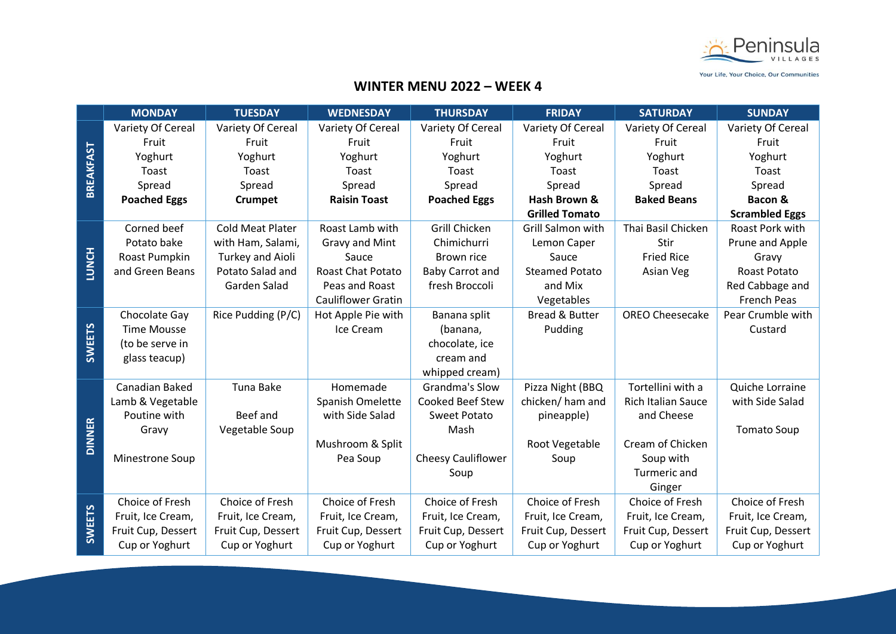

|                  | <b>MONDAY</b>       | <b>TUESDAY</b>          | <b>WEDNESDAY</b>         | <b>THURSDAY</b>           | <b>FRIDAY</b>             | <b>SATURDAY</b>           | <b>SUNDAY</b>         |
|------------------|---------------------|-------------------------|--------------------------|---------------------------|---------------------------|---------------------------|-----------------------|
|                  | Variety Of Cereal   | Variety Of Cereal       | Variety Of Cereal        | Variety Of Cereal         | Variety Of Cereal         | Variety Of Cereal         | Variety Of Cereal     |
|                  | Fruit               | Fruit                   | Fruit                    | Fruit                     | Fruit                     | Fruit                     | Fruit                 |
| <b>BREAKFAST</b> | Yoghurt             | Yoghurt                 | Yoghurt                  | Yoghurt                   | Yoghurt                   | Yoghurt                   | Yoghurt               |
|                  | Toast               | Toast                   | Toast                    | Toast                     | Toast                     | Toast                     | Toast                 |
|                  | Spread              | Spread                  | Spread                   | Spread                    | Spread                    | Spread                    | Spread                |
|                  | <b>Poached Eggs</b> | <b>Crumpet</b>          | <b>Raisin Toast</b>      | <b>Poached Eggs</b>       | Hash Brown &              | <b>Baked Beans</b>        | Bacon &               |
|                  |                     |                         |                          |                           | <b>Grilled Tomato</b>     |                           | <b>Scrambled Eggs</b> |
|                  | Corned beef         | <b>Cold Meat Plater</b> | Roast Lamb with          | Grill Chicken             | Grill Salmon with         | Thai Basil Chicken        | Roast Pork with       |
|                  | Potato bake         | with Ham, Salami,       | Gravy and Mint           | Chimichurri               | Lemon Caper               | Stir                      | Prune and Apple       |
|                  | Roast Pumpkin       | Turkey and Aioli        | Sauce                    | Brown rice                | Sauce                     | <b>Fried Rice</b>         | Gravy                 |
| <b>LUNCH</b>     | and Green Beans     | Potato Salad and        | <b>Roast Chat Potato</b> | <b>Baby Carrot and</b>    | <b>Steamed Potato</b>     | Asian Veg                 | <b>Roast Potato</b>   |
|                  |                     | Garden Salad            | Peas and Roast           | fresh Broccoli            | and Mix                   |                           | Red Cabbage and       |
|                  |                     |                         | Cauliflower Gratin       |                           | Vegetables                |                           | French Peas           |
|                  | Chocolate Gay       | Rice Pudding (P/C)      | Hot Apple Pie with       | Banana split              | <b>Bread &amp; Butter</b> | <b>OREO Cheesecake</b>    | Pear Crumble with     |
| <b>SWEETS</b>    | <b>Time Mousse</b>  |                         | Ice Cream                | (banana,                  | Pudding                   |                           | Custard               |
|                  | (to be serve in     |                         |                          | chocolate, ice            |                           |                           |                       |
|                  | glass teacup)       |                         |                          | cream and                 |                           |                           |                       |
|                  |                     |                         |                          | whipped cream)            |                           |                           |                       |
|                  | Canadian Baked      | Tuna Bake               | Homemade                 | Grandma's Slow            | Pizza Night (BBQ          | Tortellini with a         | Quiche Lorraine       |
|                  | Lamb & Vegetable    |                         | Spanish Omelette         | Cooked Beef Stew          | chicken/ham and           | <b>Rich Italian Sauce</b> | with Side Salad       |
|                  | Poutine with        | Beef and                | with Side Salad          | <b>Sweet Potato</b>       | pineapple)                | and Cheese                |                       |
| <b>DINNER</b>    | Gravy               | Vegetable Soup          |                          | Mash                      |                           |                           | <b>Tomato Soup</b>    |
|                  |                     |                         | Mushroom & Split         |                           | Root Vegetable            | Cream of Chicken          |                       |
|                  | Minestrone Soup     |                         | Pea Soup                 | <b>Cheesy Cauliflower</b> | Soup                      | Soup with                 |                       |
|                  |                     |                         |                          | Soup                      |                           | Turmeric and              |                       |
|                  |                     |                         |                          |                           |                           | Ginger                    |                       |
|                  | Choice of Fresh     | Choice of Fresh         | Choice of Fresh          | Choice of Fresh           | Choice of Fresh           | Choice of Fresh           | Choice of Fresh       |
|                  | Fruit, Ice Cream,   | Fruit, Ice Cream,       | Fruit, Ice Cream,        | Fruit, Ice Cream,         | Fruit, Ice Cream,         | Fruit, Ice Cream,         | Fruit, Ice Cream,     |
| <b>SWEETS</b>    | Fruit Cup, Dessert  | Fruit Cup, Dessert      | Fruit Cup, Dessert       | Fruit Cup, Dessert        | Fruit Cup, Dessert        | Fruit Cup, Dessert        | Fruit Cup, Dessert    |
|                  | Cup or Yoghurt      | Cup or Yoghurt          | Cup or Yoghurt           | Cup or Yoghurt            | Cup or Yoghurt            | Cup or Yoghurt            | Cup or Yoghurt        |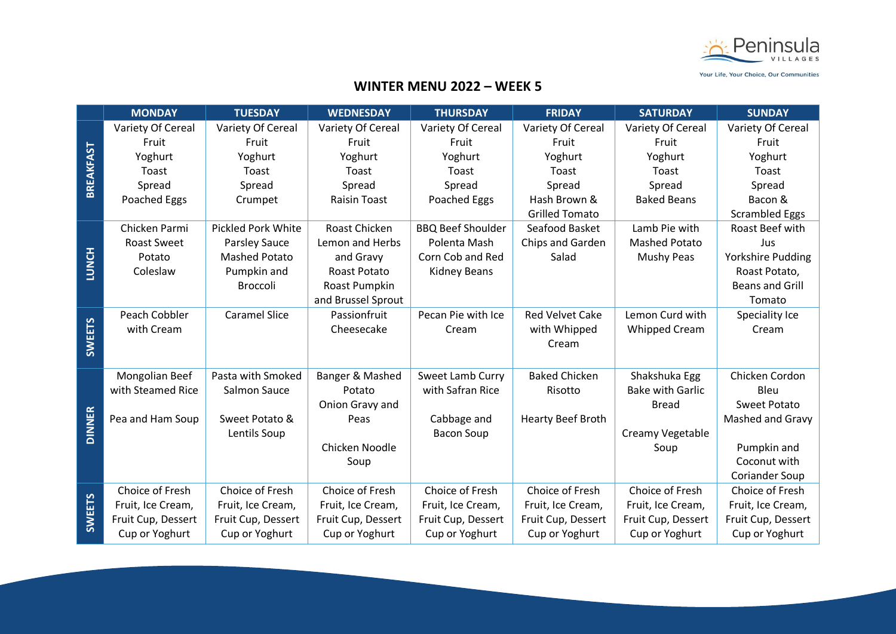

|                  | <b>MONDAY</b>      | <b>TUESDAY</b>            | <b>WEDNESDAY</b>    | <b>THURSDAY</b>          | <b>FRIDAY</b>            | <b>SATURDAY</b>         | <b>SUNDAY</b>            |
|------------------|--------------------|---------------------------|---------------------|--------------------------|--------------------------|-------------------------|--------------------------|
|                  | Variety Of Cereal  | Variety Of Cereal         | Variety Of Cereal   | Variety Of Cereal        | Variety Of Cereal        | Variety Of Cereal       | Variety Of Cereal        |
| <b>BREAKFAST</b> | Fruit              | Fruit                     | Fruit               | Fruit                    | Fruit                    | Fruit                   | Fruit                    |
|                  | Yoghurt            | Yoghurt                   | Yoghurt             | Yoghurt                  | Yoghurt                  | Yoghurt                 | Yoghurt                  |
|                  | Toast              | Toast                     | Toast               | Toast                    | Toast                    | Toast                   | Toast                    |
|                  | Spread             | Spread                    | Spread              | Spread                   | Spread                   | Spread                  | Spread                   |
|                  | Poached Eggs       | Crumpet                   | <b>Raisin Toast</b> | Poached Eggs             | Hash Brown &             | <b>Baked Beans</b>      | Bacon &                  |
|                  |                    |                           |                     |                          | <b>Grilled Tomato</b>    |                         | <b>Scrambled Eggs</b>    |
|                  | Chicken Parmi      | <b>Pickled Pork White</b> | Roast Chicken       | <b>BBQ Beef Shoulder</b> | Seafood Basket           | Lamb Pie with           | Roast Beef with          |
|                  | <b>Roast Sweet</b> | <b>Parsley Sauce</b>      | Lemon and Herbs     | Polenta Mash             | Chips and Garden         | <b>Mashed Potato</b>    | Jus                      |
| <b>LUNCH</b>     | Potato             | <b>Mashed Potato</b>      | and Gravy           | Corn Cob and Red         | Salad                    | Mushy Peas              | <b>Yorkshire Pudding</b> |
|                  | Coleslaw           | Pumpkin and               | <b>Roast Potato</b> | <b>Kidney Beans</b>      |                          |                         | Roast Potato,            |
|                  |                    | <b>Broccoli</b>           | Roast Pumpkin       |                          |                          |                         | <b>Beans and Grill</b>   |
|                  |                    |                           | and Brussel Sprout  |                          |                          |                         | Tomato                   |
| <b>SWEETS</b>    | Peach Cobbler      | <b>Caramel Slice</b>      | Passionfruit        | Pecan Pie with Ice       | <b>Red Velvet Cake</b>   | Lemon Curd with         | Speciality Ice           |
|                  | with Cream         |                           | Cheesecake          | Cream                    | with Whipped             | <b>Whipped Cream</b>    | Cream                    |
|                  |                    |                           |                     |                          | Cream                    |                         |                          |
|                  |                    |                           |                     |                          |                          |                         |                          |
|                  | Mongolian Beef     | Pasta with Smoked         | Banger & Mashed     | Sweet Lamb Curry         | <b>Baked Chicken</b>     | Shakshuka Egg           | Chicken Cordon           |
|                  | with Steamed Rice  | Salmon Sauce              | Potato              | with Safran Rice         | Risotto                  | <b>Bake with Garlic</b> | Bleu                     |
|                  |                    |                           | Onion Gravy and     |                          |                          | <b>Bread</b>            | <b>Sweet Potato</b>      |
| <b>DINNER</b>    | Pea and Ham Soup   | Sweet Potato &            | Peas                | Cabbage and              | <b>Hearty Beef Broth</b> |                         | Mashed and Gravy         |
|                  |                    | Lentils Soup              |                     | <b>Bacon Soup</b>        |                          | Creamy Vegetable        |                          |
|                  |                    |                           | Chicken Noodle      |                          |                          | Soup                    | Pumpkin and              |
|                  |                    |                           | Soup                |                          |                          |                         | Coconut with             |
|                  |                    |                           |                     |                          |                          |                         | <b>Coriander Soup</b>    |
|                  | Choice of Fresh    | Choice of Fresh           | Choice of Fresh     | Choice of Fresh          | Choice of Fresh          | Choice of Fresh         | Choice of Fresh          |
|                  | Fruit, Ice Cream,  | Fruit, Ice Cream,         | Fruit, Ice Cream,   | Fruit, Ice Cream,        | Fruit, Ice Cream,        | Fruit, Ice Cream,       | Fruit, Ice Cream,        |
| <b>SWEETS</b>    | Fruit Cup, Dessert | Fruit Cup, Dessert        | Fruit Cup, Dessert  | Fruit Cup, Dessert       | Fruit Cup, Dessert       | Fruit Cup, Dessert      | Fruit Cup, Dessert       |
|                  | Cup or Yoghurt     | Cup or Yoghurt            | Cup or Yoghurt      | Cup or Yoghurt           | Cup or Yoghurt           | Cup or Yoghurt          | Cup or Yoghurt           |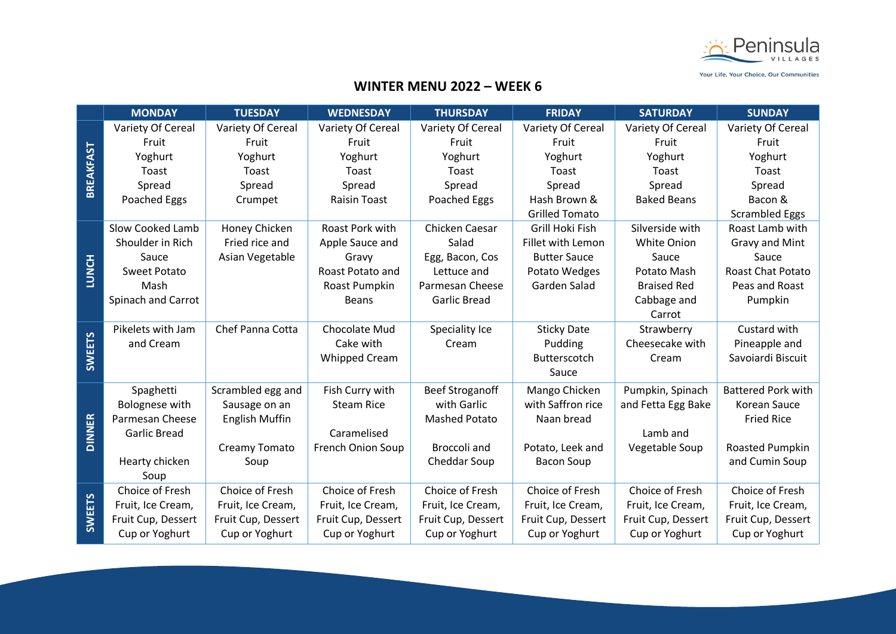

|                  | <b>MONDAY</b>       | <b>TUESDAY</b>        | <b>WEDNESDAY</b>         | <b>THURSDAY</b>        | <b>FRIDAY</b>         | <b>SATURDAY</b>    | <b>SUNDAY</b>             |
|------------------|---------------------|-----------------------|--------------------------|------------------------|-----------------------|--------------------|---------------------------|
|                  | Variety Of Cereal   | Variety Of Cereal     | Variety Of Cereal        | Variety Of Cereal      | Variety Of Cereal     | Variety Of Cereal  | Variety Of Cereal         |
| <b>BREAKFAST</b> | Fruit               | Fruit                 | Fruit                    | Fruit                  | Fruit                 | Fruit              | Fruit                     |
|                  | Yoghurt             | Yoghurt               | Yoghurt                  | Yoghurt                | Yoghurt               | Yoghurt            | Yoghurt                   |
|                  | Toast               | Toast                 | Toast                    | Toast                  | Toast                 | Toast              | Toast                     |
|                  | Spread              | Spread                | Spread                   | Spread                 | Spread                | Spread             | Spread                    |
|                  | Poached Eggs        | Crumpet               | <b>Raisin Toast</b>      | Poached Eggs           | Hash Brown &          | <b>Baked Beans</b> | Bacon &                   |
|                  |                     |                       |                          |                        | <b>Grilled Tomato</b> |                    | <b>Scrambled Eggs</b>     |
|                  | Slow Cooked Lamb    | Honey Chicken         | Roast Pork with          | Chicken Caesar         | Grill Hoki Fish       | Silverside with    | Roast Lamb with           |
|                  | Shoulder in Rich    | Fried rice and        | Apple Sauce and          | Salad                  | Fillet with Lemon     | White Onion        | Gravy and Mint            |
|                  | Sauce               | Asian Vegetable       | Gravy                    | Egg, Bacon, Cos        | <b>Butter Sauce</b>   | Sauce              | Sauce                     |
| <b>LUNCH</b>     | <b>Sweet Potato</b> |                       | Roast Potato and         | Lettuce and            | Potato Wedges         | Potato Mash        | <b>Roast Chat Potato</b>  |
|                  | Mash                |                       | Roast Pumpkin            | Parmesan Cheese        | Garden Salad          | <b>Braised Red</b> | Peas and Roast            |
|                  | Spinach and Carrot  |                       | <b>Beans</b>             | Garlic Bread           |                       | Cabbage and        | Pumpkin                   |
|                  |                     |                       |                          |                        |                       | Carrot             |                           |
|                  | Pikelets with Jam   | Chef Panna Cotta      | Chocolate Mud            | Speciality Ice         | <b>Sticky Date</b>    | Strawberry         | Custard with              |
|                  | and Cream           |                       | Cake with                | Cream                  | Pudding               | Cheesecake with    | Pineapple and             |
| <b>SWEETS</b>    |                     |                       | <b>Whipped Cream</b>     |                        | Butterscotch          | Cream              | Savoiardi Biscuit         |
|                  |                     |                       |                          |                        | Sauce                 |                    |                           |
|                  | Spaghetti           | Scrambled egg and     | Fish Curry with          | <b>Beef Stroganoff</b> | Mango Chicken         | Pumpkin, Spinach   | <b>Battered Pork with</b> |
|                  | Bolognese with      | Sausage on an         | <b>Steam Rice</b>        | with Garlic            | with Saffron rice     | and Fetta Egg Bake | Korean Sauce              |
|                  | Parmesan Cheese     | <b>English Muffin</b> |                          | <b>Mashed Potato</b>   | Naan bread            |                    | <b>Fried Rice</b>         |
| <b>DINNER</b>    | <b>Garlic Bread</b> |                       | Caramelised              |                        |                       | Lamb and           |                           |
|                  |                     | Creamy Tomato         | <b>French Onion Soup</b> | Broccoli and           | Potato, Leek and      | Vegetable Soup     | <b>Roasted Pumpkin</b>    |
|                  | Hearty chicken      | Soup                  |                          | Cheddar Soup           | <b>Bacon Soup</b>     |                    | and Cumin Soup            |
|                  | Soup                |                       |                          |                        |                       |                    |                           |
|                  | Choice of Fresh     | Choice of Fresh       | Choice of Fresh          | Choice of Fresh        | Choice of Fresh       | Choice of Fresh    | Choice of Fresh           |
|                  | Fruit, Ice Cream,   | Fruit, Ice Cream,     | Fruit, Ice Cream,        | Fruit, Ice Cream,      | Fruit, Ice Cream,     | Fruit, Ice Cream,  | Fruit, Ice Cream,         |
| <b>SWEETS</b>    | Fruit Cup, Dessert  | Fruit Cup, Dessert    | Fruit Cup, Dessert       | Fruit Cup, Dessert     | Fruit Cup, Dessert    | Fruit Cup, Dessert | Fruit Cup, Dessert        |
|                  | Cup or Yoghurt      | Cup or Yoghurt        | Cup or Yoghurt           | Cup or Yoghurt         | Cup or Yoghurt        | Cup or Yoghurt     | Cup or Yoghurt            |